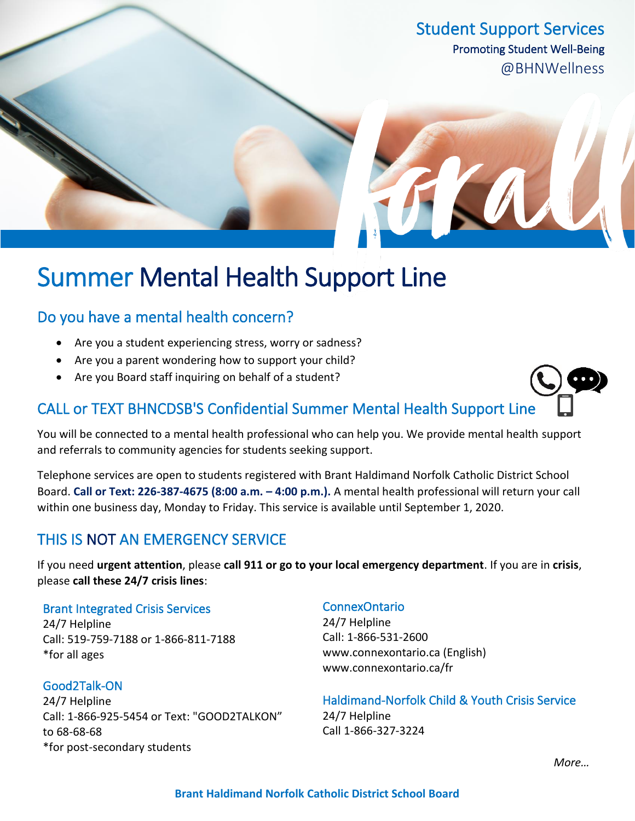Student Support Services Promoting Student Well-Being @BHNWellness

# Summer Mental Health Support Line

### Do you have a mental health concern?

- Are you a student experiencing stress, worry or sadness?
- Are you a parent wondering how to support your child?
- Are you Board staff inquiring on behalf of a student?

### CALL or TEXT BHNCDSB'S Confidential Summer Mental Health Support Line

You will be connected to a mental health professional who can help you. We provide mental health support and referrals to community agencies for students seeking support.

Telephone services are open to students registered with Brant Haldimand Norfolk Catholic District School Board. **Call or Text: 226-387-4675 (8:00 a.m. – 4:00 p.m.).** A mental health professional will return your call within one business day, Monday to Friday. This service is available until September 1, 2020.

## THIS IS NOT AN EMERGENCY SERVICE

If you need **urgent attention**, please **call 911 or go to your local emergency department**. If you are in **crisis**, please **call these 24/7 crisis lines**:

### Brant Integrated Crisis Services

24/7 Helpline Call: 519-759-7188 or 1-866-811-7188 \*for all ages

#### Good2Talk-ON

24/7 Helpline Call: 1-866-925-5454 or Text: "GOOD2TALKON" to 68-68-68 \*for post-secondary students

### ConnexOntario

24/7 Helpline Call: 1-866-531-2600 www.connexontario.ca (English) www.connexontario.ca/fr

Haldimand-Norfolk Child & Youth Crisis Service 24/7 Helpline Call 1-866-327-3224

*More…*